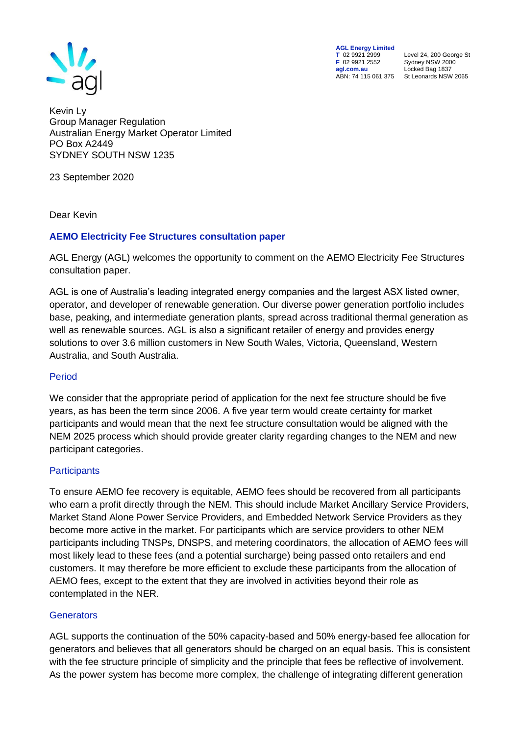

**AGL Energy Limited<br>
T** 02 9921 2999<br> **F** 02 9921 2552 **F** 02 9921 2552 Sydney NSW 2000 **agl.com.au** Locked Bag 1837

**T** 02 9921 2999 Level 24, 200 George St ABN: 74 115 061 375 St Leonards NSW 2065

Kevin Ly Group Manager Regulation Australian Energy Market Operator Limited PO Box A2449 SYDNEY SOUTH NSW 1235

23 September 2020

Dear Kevin

### **AEMO Electricity Fee Structures consultation paper**

AGL Energy (AGL) welcomes the opportunity to comment on the AEMO Electricity Fee Structures consultation paper.

AGL is one of Australia's leading integrated energy companies and the largest ASX listed owner, operator, and developer of renewable generation. Our diverse power generation portfolio includes base, peaking, and intermediate generation plants, spread across traditional thermal generation as well as renewable sources. AGL is also a significant retailer of energy and provides energy solutions to over 3.6 million customers in New South Wales, Victoria, Queensland, Western Australia, and South Australia.

### Period

We consider that the appropriate period of application for the next fee structure should be five years, as has been the term since 2006. A five year term would create certainty for market participants and would mean that the next fee structure consultation would be aligned with the NEM 2025 process which should provide greater clarity regarding changes to the NEM and new participant categories.

### **Participants**

To ensure AEMO fee recovery is equitable, AEMO fees should be recovered from all participants who earn a profit directly through the NEM. This should include Market Ancillary Service Providers, Market Stand Alone Power Service Providers, and Embedded Network Service Providers as they become more active in the market. For participants which are service providers to other NEM participants including TNSPs, DNSPS, and metering coordinators, the allocation of AEMO fees will most likely lead to these fees (and a potential surcharge) being passed onto retailers and end customers. It may therefore be more efficient to exclude these participants from the allocation of AEMO fees, except to the extent that they are involved in activities beyond their role as contemplated in the NER.

### **Generators**

AGL supports the continuation of the 50% capacity-based and 50% energy-based fee allocation for generators and believes that all generators should be charged on an equal basis. This is consistent with the fee structure principle of simplicity and the principle that fees be reflective of involvement. As the power system has become more complex, the challenge of integrating different generation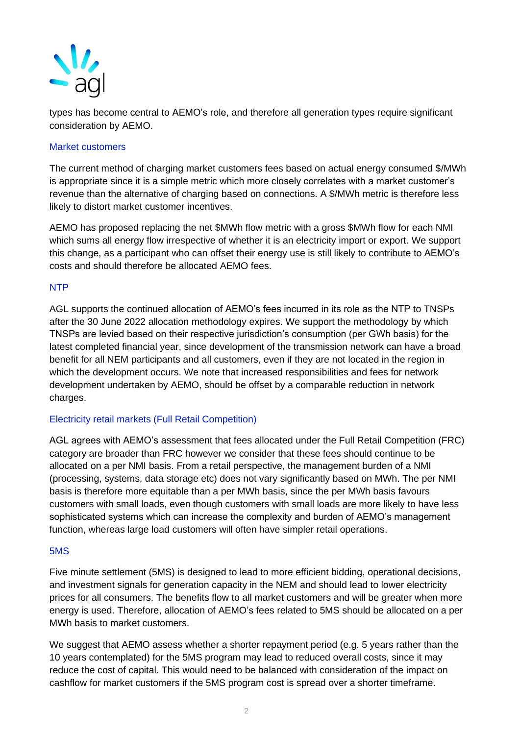

types has become central to AEMO's role, and therefore all generation types require significant consideration by AEMO.

### Market customers

The current method of charging market customers fees based on actual energy consumed \$/MWh is appropriate since it is a simple metric which more closely correlates with a market customer's revenue than the alternative of charging based on connections. A \$/MWh metric is therefore less likely to distort market customer incentives.

AEMO has proposed replacing the net \$MWh flow metric with a gross \$MWh flow for each NMI which sums all energy flow irrespective of whether it is an electricity import or export. We support this change, as a participant who can offset their energy use is still likely to contribute to AEMO's costs and should therefore be allocated AEMO fees.

### NTP

AGL supports the continued allocation of AEMO's fees incurred in its role as the NTP to TNSPs after the 30 June 2022 allocation methodology expires. We support the methodology by which TNSPs are levied based on their respective jurisdiction's consumption (per GWh basis) for the latest completed financial year, since development of the transmission network can have a broad benefit for all NEM participants and all customers, even if they are not located in the region in which the development occurs. We note that increased responsibilities and fees for network development undertaken by AEMO, should be offset by a comparable reduction in network charges.

# Electricity retail markets (Full Retail Competition)

AGL agrees with AEMO's assessment that fees allocated under the Full Retail Competition (FRC) category are broader than FRC however we consider that these fees should continue to be allocated on a per NMI basis. From a retail perspective, the management burden of a NMI (processing, systems, data storage etc) does not vary significantly based on MWh. The per NMI basis is therefore more equitable than a per MWh basis, since the per MWh basis favours customers with small loads, even though customers with small loads are more likely to have less sophisticated systems which can increase the complexity and burden of AEMO's management function, whereas large load customers will often have simpler retail operations.

### 5MS

Five minute settlement (5MS) is designed to lead to more efficient bidding, operational decisions, and investment signals for generation capacity in the NEM and should lead to lower electricity prices for all consumers. The benefits flow to all market customers and will be greater when more energy is used. Therefore, allocation of AEMO's fees related to 5MS should be allocated on a per MWh basis to market customers.

We suggest that AEMO assess whether a shorter repayment period (e.g. 5 years rather than the 10 years contemplated) for the 5MS program may lead to reduced overall costs, since it may reduce the cost of capital. This would need to be balanced with consideration of the impact on cashflow for market customers if the 5MS program cost is spread over a shorter timeframe.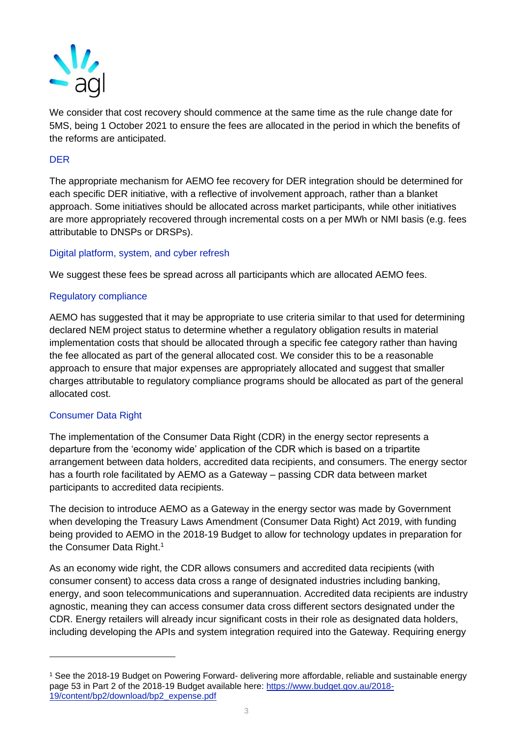

We consider that cost recovery should commence at the same time as the rule change date for 5MS, being 1 October 2021 to ensure the fees are allocated in the period in which the benefits of the reforms are anticipated.

### DER

The appropriate mechanism for AEMO fee recovery for DER integration should be determined for each specific DER initiative, with a reflective of involvement approach, rather than a blanket approach. Some initiatives should be allocated across market participants, while other initiatives are more appropriately recovered through incremental costs on a per MWh or NMI basis (e.g. fees attributable to DNSPs or DRSPs).

### Digital platform, system, and cyber refresh

We suggest these fees be spread across all participants which are allocated AEMO fees.

#### Regulatory compliance

AEMO has suggested that it may be appropriate to use criteria similar to that used for determining declared NEM project status to determine whether a regulatory obligation results in material implementation costs that should be allocated through a specific fee category rather than having the fee allocated as part of the general allocated cost. We consider this to be a reasonable approach to ensure that major expenses are appropriately allocated and suggest that smaller charges attributable to regulatory compliance programs should be allocated as part of the general allocated cost.

### Consumer Data Right

The implementation of the Consumer Data Right (CDR) in the energy sector represents a departure from the 'economy wide' application of the CDR which is based on a tripartite arrangement between data holders, accredited data recipients, and consumers. The energy sector has a fourth role facilitated by AEMO as a Gateway – passing CDR data between market participants to accredited data recipients.

The decision to introduce AEMO as a Gateway in the energy sector was made by Government when developing the Treasury Laws Amendment (Consumer Data Right) Act 2019, with funding being provided to AEMO in the 2018-19 Budget to allow for technology updates in preparation for the Consumer Data Right.<sup>1</sup>

As an economy wide right, the CDR allows consumers and accredited data recipients (with consumer consent) to access data cross a range of designated industries including banking, energy, and soon telecommunications and superannuation. Accredited data recipients are industry agnostic, meaning they can access consumer data cross different sectors designated under the CDR. Energy retailers will already incur significant costs in their role as designated data holders, including developing the APIs and system integration required into the Gateway. Requiring energy

<sup>1</sup> See the 2018-19 Budget on Powering Forward- delivering more affordable, reliable and sustainable energy page 53 in Part 2 of the 2018-19 Budget available here: [https://www.budget.gov.au/2018-](https://www.budget.gov.au/2018-19/content/bp2/download/bp2_expense.pdf) [19/content/bp2/download/bp2\\_expense.pdf](https://www.budget.gov.au/2018-19/content/bp2/download/bp2_expense.pdf)